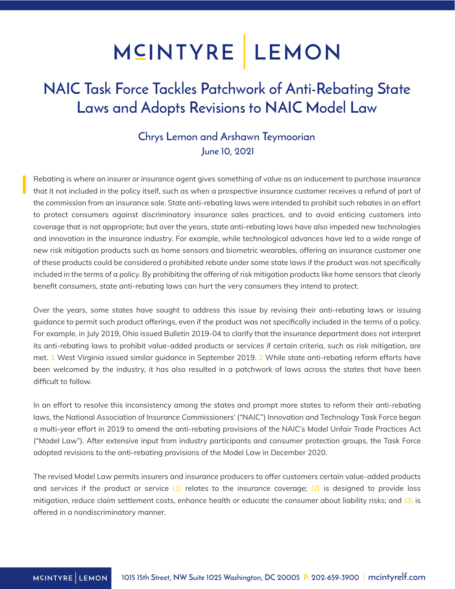## MCINTYRE LEMON

### NAIC Task Force Tackles Patchwork of Anti-Rebating State Laws and Adopts Revisions to NAIC Model Law

#### Chrys Lemon and Arshawn Teymoorian June 10, 2021

Rebating is where an insurer or insurance agent gives something of value as an inducement to purchase insurance that it not included in the policy itself, such as when a prospective insurance customer receives a refund of part of the commission from an insurance sale. State anti-rebating laws were intended to prohibit such rebates in an effort to protect consumers against discriminatory insurance sales practices, and to avoid enticing customers into coverage that is not appropriate; but over the years, state anti-rebating laws have also impeded new technologies and innovation in the insurance industry. For example, while technological advances have led to a wide range of new risk mitigation products such as home sensors and biometric wearables, offering an insurance customer one of these products could be considered a prohibited rebate under some state laws if the product was not specifically included in the terms of a policy. By prohibiting the offering of risk mitigation products like home sensors that clearly benefit consumers, state anti-rebating laws can hurt the very consumers they intend to protect.

Over the years, some states have sought to address this issue by revising their anti-rebating laws or issuing guidance to permit such product offerings, even if the product was not specifically included in the terms of a policy. For example, in July 2019, Ohio issued Bulletin 2019-04 to clarify that the insurance department does not interpret its anti-rebating laws to prohibit value-added products or services if certain criteria, such as risk mitigation, are met. 1 West Virginia issued similar guidance in September 2019. 2 While state anti-rebating reform efforts have been welcomed by the industry, it has also resulted in a patchwork of laws across the states that have been difficult to follow.

In an effort to resolve this inconsistency among the states and prompt more states to reform their anti-rebating laws, the National Association of Insurance Commissioners' ("NAIC") Innovation and Technology Task Force began a multi-year effort in 2019 to amend the anti-rebating provisions of the NAIC's Model Unfair Trade Practices Act ("Model Law"). After extensive input from industry participants and consumer protection groups, the Task Force adopted revisions to the anti-rebating provisions of the Model Law in December 2020.

The revised Model Law permits insurers and insurance producers to offer customers certain value-added products and services if the product or service  $(1)$  relates to the insurance coverage;  $(2)$  is designed to provide loss mitigation, reduce claim settlement costs, enhance health or educate the consumer about liability risks; and  $(3)$  is offered in a nondiscriminatory manner.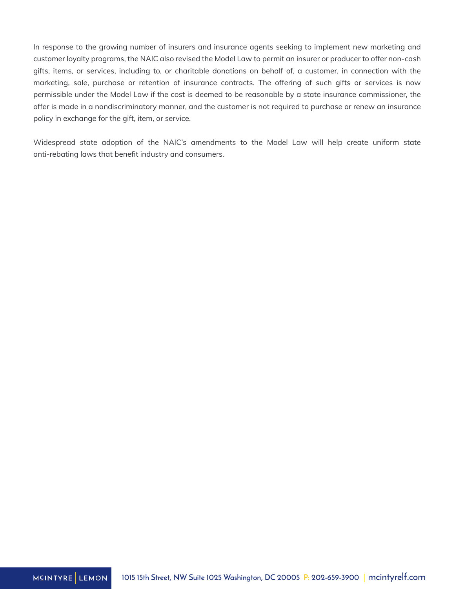In response to the growing number of insurers and insurance agents seeking to implement new marketing and customer loyalty programs, the NAIC also revised the Model Law to permit an insurer or producer to offer non-cash gifts, items, or services, including to, or charitable donations on behalf of, a customer, in connection with the marketing, sale, purchase or retention of insurance contracts. The offering of such gifts or services is now permissible under the Model Law if the cost is deemed to be reasonable by a state insurance commissioner, the offer is made in a nondiscriminatory manner, and the customer is not required to purchase or renew an insurance policy in exchange for the gift, item, or service.

Widespread state adoption of the NAIC's amendments to the Model Law will help create uniform state anti-rebating laws that benefit industry and consumers.